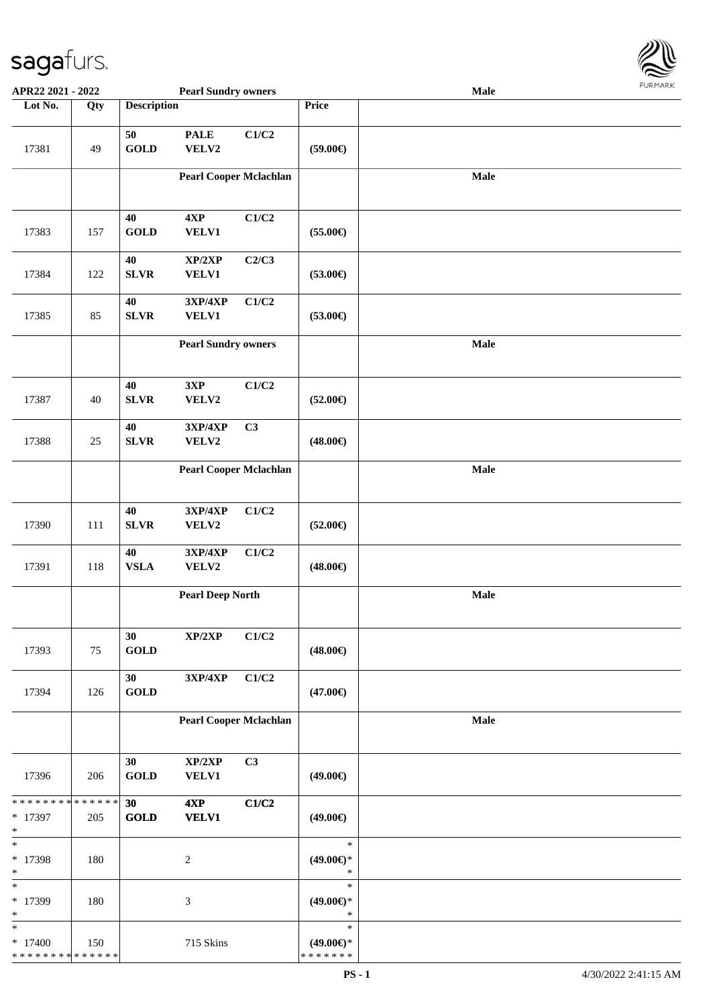

| APR22 2021 - 2022                                 |     |                             | <b>Pearl Sundry owners</b>    |       |                                                | Male |  |
|---------------------------------------------------|-----|-----------------------------|-------------------------------|-------|------------------------------------------------|------|--|
| Lot No.                                           | Qty | <b>Description</b>          |                               |       | Price                                          |      |  |
| 17381                                             | 49  | 50<br><b>GOLD</b>           | <b>PALE</b><br>VELV2          | C1/C2 | $(59.00\epsilon)$                              |      |  |
|                                                   |     |                             | <b>Pearl Cooper Mclachlan</b> |       |                                                | Male |  |
| 17383                                             | 157 | 40<br><b>GOLD</b>           | 4XP<br>VELV1                  | C1/C2 | $(55.00\epsilon)$                              |      |  |
| 17384                                             | 122 | 40<br>${\bf SLVR}$          | XP/2XP<br><b>VELV1</b>        | C2/C3 | $(53.00\epsilon)$                              |      |  |
| 17385                                             | 85  | 40<br><b>SLVR</b>           | 3XP/4XP<br>VELV1              | C1/C2 | $(53.00\epsilon)$                              |      |  |
|                                                   |     |                             | <b>Pearl Sundry owners</b>    |       |                                                | Male |  |
| 17387                                             | 40  | 40<br>${\bf SLVR}$          | 3XP<br>VELV2                  | C1/C2 | $(52.00\epsilon)$                              |      |  |
| 17388                                             | 25  | 40<br>SLVR                  | 3XP/4XP<br>VELV2              | C3    | $(48.00\epsilon)$                              |      |  |
|                                                   |     |                             | <b>Pearl Cooper Mclachlan</b> |       |                                                | Male |  |
| 17390                                             | 111 | 40<br>${\bf SLVR}$          | 3XP/4XP<br>VELV2              | C1/C2 | $(52.00\epsilon)$                              |      |  |
| 17391                                             | 118 | $40\,$<br><b>VSLA</b>       | 3XP/4XP<br>VELV2              | C1/C2 | $(48.00\epsilon)$                              |      |  |
|                                                   |     |                             | <b>Pearl Deep North</b>       |       |                                                | Male |  |
| 17393                                             | 75  | 30<br>$\operatorname{GOLD}$ | XP/2XP                        | C1/C2 | $(48.00\epsilon)$                              |      |  |
| 17394                                             | 126 | 30<br><b>GOLD</b>           | 3XP/4XP                       | C1/C2 | $(47.00\epsilon)$                              |      |  |
|                                                   |     |                             | <b>Pearl Cooper Mclachlan</b> |       |                                                | Male |  |
| 17396                                             | 206 | 30<br><b>GOLD</b>           | XP/2XP<br><b>VELV1</b>        | C3    | $(49.00\epsilon)$                              |      |  |
| * * * * * * * * * * * * * *<br>* 17397<br>$\ast$  | 205 | 30<br><b>GOLD</b>           | 4XP<br><b>VELV1</b>           | C1/C2 | $(49.00\epsilon)$                              |      |  |
| $\ast$<br>* 17398<br>$\ast$                       | 180 |                             | $\overline{2}$                |       | $\ast$<br>$(49.00\epsilon)$ *<br>$\ast$        |      |  |
| $\ast$<br>* 17399<br>$\ast$                       | 180 |                             | 3                             |       | $\ast$<br>$(49.00\epsilon)$ *<br>$\ast$        |      |  |
| $\ast$<br>$*17400$<br>* * * * * * * * * * * * * * | 150 |                             | 715 Skins                     |       | $\ast$<br>$(49.00\epsilon)$ *<br>* * * * * * * |      |  |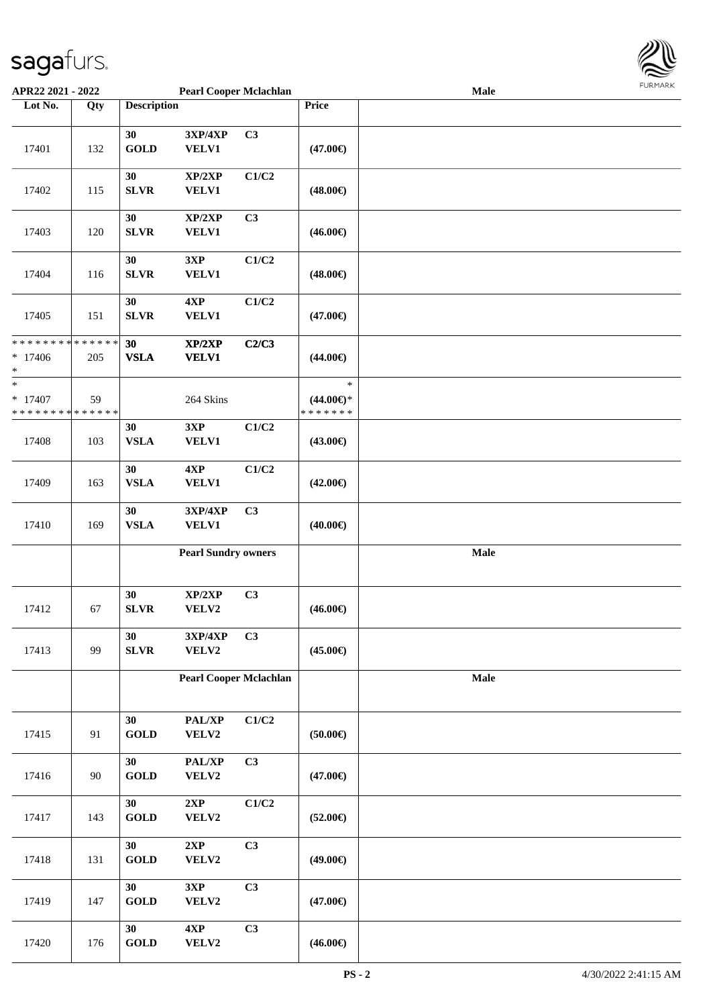

| APR22 2021 - 2022                          |     |                       | <b>Pearl Cooper Mclachlan</b> |                |                   | Male |  |
|--------------------------------------------|-----|-----------------------|-------------------------------|----------------|-------------------|------|--|
| Lot No.                                    | Qty | <b>Description</b>    |                               |                | Price             |      |  |
|                                            |     |                       |                               |                |                   |      |  |
|                                            |     | 30                    | 3XP/4XP                       | C3             |                   |      |  |
| 17401                                      | 132 | <b>GOLD</b>           | VELV1                         |                | $(47.00\epsilon)$ |      |  |
|                                            |     |                       |                               |                |                   |      |  |
|                                            |     | 30                    | XP/2XP                        | C1/C2          |                   |      |  |
| 17402                                      |     |                       |                               |                |                   |      |  |
|                                            | 115 | <b>SLVR</b>           | VELV1                         |                | $(48.00\epsilon)$ |      |  |
|                                            |     |                       |                               |                |                   |      |  |
|                                            |     | 30                    | XP/2XP                        | C3             |                   |      |  |
| 17403                                      | 120 | <b>SLVR</b>           | VELV1                         |                | $(46.00\epsilon)$ |      |  |
|                                            |     |                       |                               |                |                   |      |  |
|                                            |     | 30                    | 3XP                           | C1/C2          |                   |      |  |
| 17404                                      | 116 | ${\bf SLVR}$          | VELV1                         |                | $(48.00\epsilon)$ |      |  |
|                                            |     |                       |                               |                |                   |      |  |
|                                            |     | 30                    | 4XP                           | C1/C2          |                   |      |  |
| 17405                                      | 151 | <b>SLVR</b>           | VELV1                         |                | $(47.00\epsilon)$ |      |  |
|                                            |     |                       |                               |                |                   |      |  |
| * * * * * * * * <mark>* * * * * * *</mark> |     | 30                    | XP/2XP                        | C2/C3          |                   |      |  |
| $* 17406$                                  | 205 | <b>VSLA</b>           | <b>VELV1</b>                  |                | $(44.00\epsilon)$ |      |  |
| *                                          |     |                       |                               |                |                   |      |  |
| *                                          |     |                       |                               |                | $\ast$            |      |  |
| $* 17407$                                  | 59  |                       |                               |                | $(44.00ε)$ *      |      |  |
| * * * * * * * * <mark>* * * * * *</mark> * |     |                       | 264 Skins                     |                | * * * * * * *     |      |  |
|                                            |     |                       |                               |                |                   |      |  |
|                                            |     | 30                    | 3XP                           | C1/C2          |                   |      |  |
| 17408                                      | 103 | <b>VSLA</b>           | <b>VELV1</b>                  |                | $(43.00\epsilon)$ |      |  |
|                                            |     |                       |                               |                |                   |      |  |
|                                            |     | 30                    | 4XP                           | C1/C2          |                   |      |  |
| 17409                                      | 163 | <b>VSLA</b>           | VELV1                         |                | $(42.00\epsilon)$ |      |  |
|                                            |     |                       |                               |                |                   |      |  |
|                                            |     | 30                    | 3XP/4XP                       | C <sub>3</sub> |                   |      |  |
| 17410                                      | 169 | <b>VSLA</b>           | <b>VELV1</b>                  |                | $(40.00\epsilon)$ |      |  |
|                                            |     |                       |                               |                |                   |      |  |
|                                            |     |                       | <b>Pearl Sundry owners</b>    |                |                   | Male |  |
|                                            |     |                       |                               |                |                   |      |  |
|                                            |     |                       |                               |                |                   |      |  |
|                                            |     | 30                    | XP/2XP                        | C3             |                   |      |  |
| 17412                                      | 67  | ${\bf SLVR}$          | VELV2                         |                | $(46.00\epsilon)$ |      |  |
|                                            |     |                       |                               |                |                   |      |  |
|                                            |     | 30                    | 3XP/4XP                       | C3             |                   |      |  |
| 17413                                      | 99  | ${\bf SLVR}$          | VELV2                         |                | $(45.00\epsilon)$ |      |  |
|                                            |     |                       |                               |                |                   |      |  |
|                                            |     |                       |                               |                |                   |      |  |
|                                            |     |                       | <b>Pearl Cooper Mclachlan</b> |                |                   | Male |  |
|                                            |     |                       |                               |                |                   |      |  |
|                                            |     |                       |                               |                |                   |      |  |
|                                            |     | 30                    | PAL/XP                        | C1/C2          |                   |      |  |
| 17415                                      | 91  | <b>GOLD</b>           | VELV2                         |                | $(50.00\epsilon)$ |      |  |
|                                            |     |                       |                               |                |                   |      |  |
|                                            |     | 30                    | PAL/XP                        | C <sub>3</sub> |                   |      |  |
| 17416                                      | 90  | $\operatorname{GOLD}$ | VELV2                         |                | $(47.00\epsilon)$ |      |  |
|                                            |     |                       |                               |                |                   |      |  |
|                                            |     | 30                    | 2XP                           | C1/C2          |                   |      |  |
| 17417                                      | 143 | <b>GOLD</b>           | VELV2                         |                | $(52.00\epsilon)$ |      |  |
|                                            |     |                       |                               |                |                   |      |  |
|                                            |     | 30                    | 2XP                           | C3             |                   |      |  |
| 17418                                      | 131 | <b>GOLD</b>           | VELV2                         |                | $(49.00\epsilon)$ |      |  |
|                                            |     |                       |                               |                |                   |      |  |
|                                            |     | 30                    | 3XP                           | C3             |                   |      |  |
| 17419                                      | 147 | <b>GOLD</b>           | VELV2                         |                | $(47.00\epsilon)$ |      |  |
|                                            |     |                       |                               |                |                   |      |  |
|                                            |     | 30                    | 4XP                           | C3             |                   |      |  |
|                                            |     |                       |                               |                |                   |      |  |
| 17420                                      | 176 | <b>GOLD</b>           | VELV2                         |                | $(46.00\epsilon)$ |      |  |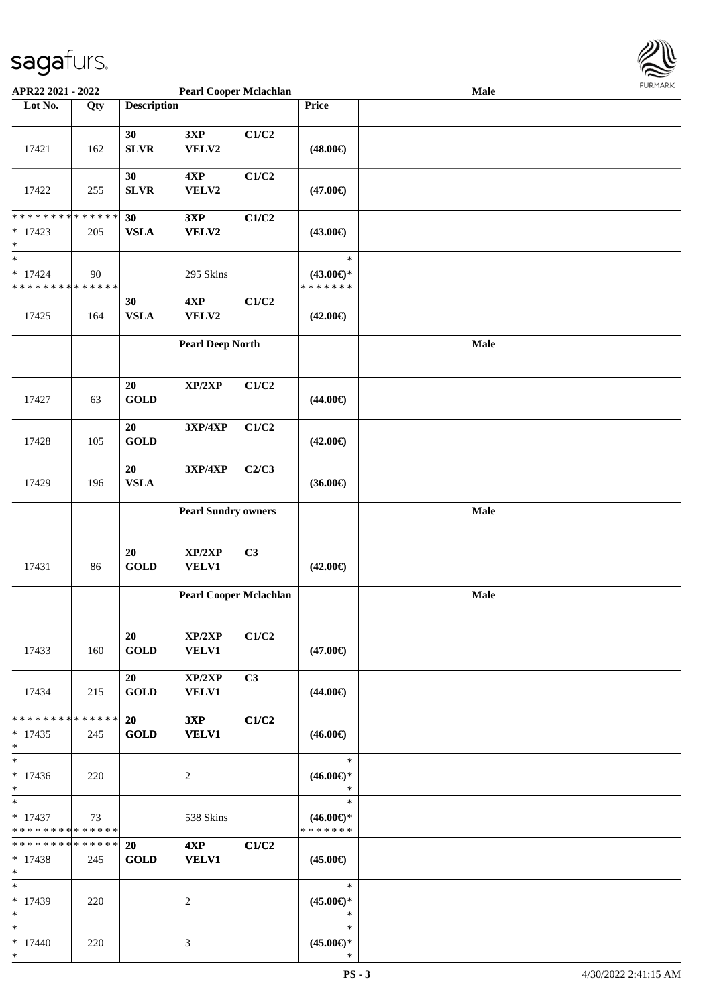

| APR22 2021 - 2022                          |     |                    | <b>Pearl Cooper Mclachlan</b> |       |                     | Male |  |
|--------------------------------------------|-----|--------------------|-------------------------------|-------|---------------------|------|--|
| Lot No.                                    | Qty | <b>Description</b> |                               |       | Price               |      |  |
|                                            |     |                    |                               |       |                     |      |  |
|                                            |     | 30                 | 3XP                           | C1/C2 |                     |      |  |
|                                            |     |                    |                               |       |                     |      |  |
| 17421                                      | 162 | <b>SLVR</b>        | VELV2                         |       | $(48.00\epsilon)$   |      |  |
|                                            |     |                    |                               |       |                     |      |  |
|                                            |     | 30                 | 4XP                           | C1/C2 |                     |      |  |
| 17422                                      | 255 | <b>SLVR</b>        | VELV2                         |       | $(47.00\epsilon)$   |      |  |
|                                            |     |                    |                               |       |                     |      |  |
| * * * * * * * * <mark>* * * * * * *</mark> |     |                    |                               |       |                     |      |  |
|                                            |     | 30                 | 3XP                           | C1/C2 |                     |      |  |
| $*$ 17423                                  | 205 | <b>VSLA</b>        | VELV2                         |       | $(43.00\epsilon)$   |      |  |
| $\ast$                                     |     |                    |                               |       |                     |      |  |
| $\ast$                                     |     |                    |                               |       | $\ast$              |      |  |
| $* 17424$                                  | 90  |                    | 295 Skins                     |       | $(43.00\epsilon)$ * |      |  |
| * * * * * * * * <mark>* * * * * * *</mark> |     |                    |                               |       | * * * * * * *       |      |  |
|                                            |     | 30                 | 4XP                           | C1/C2 |                     |      |  |
| 17425                                      | 164 | <b>VSLA</b>        | VELV2                         |       | $(42.00\epsilon)$   |      |  |
|                                            |     |                    |                               |       |                     |      |  |
|                                            |     |                    |                               |       |                     |      |  |
|                                            |     |                    | <b>Pearl Deep North</b>       |       |                     | Male |  |
|                                            |     |                    |                               |       |                     |      |  |
|                                            |     |                    |                               |       |                     |      |  |
|                                            |     | 20                 | XP/2XP                        | C1/C2 |                     |      |  |
| 17427                                      | 63  | <b>GOLD</b>        |                               |       | $(44.00\epsilon)$   |      |  |
|                                            |     |                    |                               |       |                     |      |  |
|                                            |     | 20                 | 3XP/4XP                       | C1/C2 |                     |      |  |
| 17428                                      | 105 | <b>GOLD</b>        |                               |       | $(42.00\epsilon)$   |      |  |
|                                            |     |                    |                               |       |                     |      |  |
|                                            |     |                    |                               |       |                     |      |  |
|                                            |     | 20                 | 3XP/4XP                       | C2/C3 |                     |      |  |
| 17429                                      | 196 | <b>VSLA</b>        |                               |       | $(36.00\epsilon)$   |      |  |
|                                            |     |                    |                               |       |                     |      |  |
|                                            |     |                    | <b>Pearl Sundry owners</b>    |       |                     | Male |  |
|                                            |     |                    |                               |       |                     |      |  |
|                                            |     |                    |                               |       |                     |      |  |
|                                            |     | 20                 | XP/2XP                        | C3    |                     |      |  |
| 17431                                      | 86  | <b>GOLD</b>        | VELV1                         |       | $(42.00\epsilon)$   |      |  |
|                                            |     |                    |                               |       |                     |      |  |
|                                            |     |                    | <b>Pearl Cooper Mclachlan</b> |       |                     | Male |  |
|                                            |     |                    |                               |       |                     |      |  |
|                                            |     |                    |                               |       |                     |      |  |
|                                            |     |                    |                               |       |                     |      |  |
|                                            |     | 20                 | XP/2XP                        | C1/C2 |                     |      |  |
| 17433                                      | 160 | <b>GOLD</b>        | VELV1                         |       | $(47.00\epsilon)$   |      |  |
|                                            |     |                    |                               |       |                     |      |  |
|                                            |     | 20                 | $\mathbf{XP}/2\mathbf{XP}$    | C3    |                     |      |  |
| 17434                                      | 215 | <b>GOLD</b>        | <b>VELV1</b>                  |       | $(44.00\epsilon)$   |      |  |
|                                            |     |                    |                               |       |                     |      |  |
| * * * * * * * * * * * * * * <mark>*</mark> |     | <b>20</b>          | 3XP                           | C1/C2 |                     |      |  |
| $*17435$                                   | 245 | <b>GOLD</b>        | <b>VELV1</b>                  |       | $(46.00\epsilon)$   |      |  |
|                                            |     |                    |                               |       |                     |      |  |
| $\ast$<br>$\ast$                           |     |                    |                               |       |                     |      |  |
|                                            |     |                    |                               |       | $\ast$              |      |  |
| $*17436$                                   | 220 |                    | 2                             |       | $(46.00\epsilon)$ * |      |  |
| $\ast$                                     |     |                    |                               |       | $\ast$              |      |  |
| $\ast$                                     |     |                    |                               |       | $\ast$              |      |  |
| $*17437$                                   | 73  |                    | 538 Skins                     |       | $(46.00\epsilon)$ * |      |  |
| * * * * * * * * <mark>* * * * * *</mark>   |     |                    |                               |       | *******             |      |  |
| * * * * * * * * <mark>* * * * * * *</mark> |     | 20                 | 4XP                           | C1/C2 |                     |      |  |
| $* 17438$                                  | 245 | <b>GOLD</b>        | <b>VELV1</b>                  |       | $(45.00\epsilon)$   |      |  |
| $\ast$                                     |     |                    |                               |       |                     |      |  |
| $\ast$                                     |     |                    |                               |       | $\ast$              |      |  |
|                                            |     |                    |                               |       |                     |      |  |
| $*17439$                                   | 220 |                    | 2                             |       | $(45.00€)$ *        |      |  |
| $\ast$                                     |     |                    |                               |       | $\ast$              |      |  |
| $\ast$                                     |     |                    |                               |       | $\ast$              |      |  |
| $* 17440$                                  | 220 |                    | 3                             |       | $(45.00\epsilon)$ * |      |  |
| $\ast$                                     |     |                    |                               |       | $\ast$              |      |  |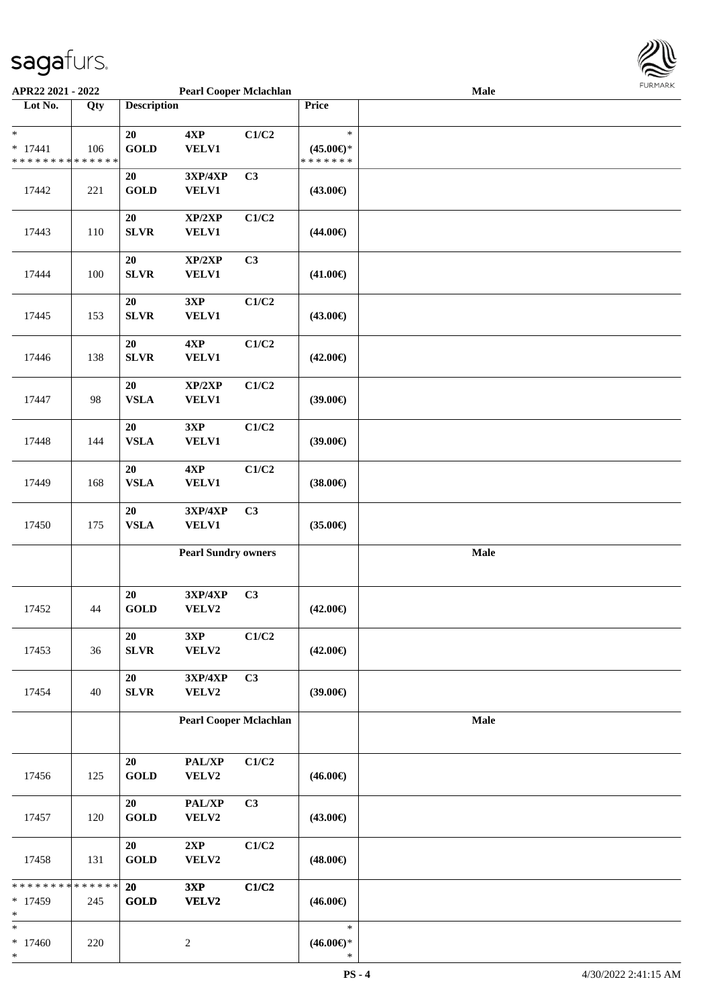

| APR22 2021 - 2022                        |     |                    | <b>Pearl Cooper Mclachlan</b> |                |                     | Male |  |
|------------------------------------------|-----|--------------------|-------------------------------|----------------|---------------------|------|--|
| Lot No.                                  | Qty | <b>Description</b> |                               |                | Price               |      |  |
|                                          |     |                    |                               |                |                     |      |  |
| *                                        |     | 20                 | 4XP                           | C1/C2          | $\ast$              |      |  |
|                                          |     |                    |                               |                |                     |      |  |
| $* 17441$                                | 106 | <b>GOLD</b>        | VELV1                         |                | $(45.00\epsilon)$ * |      |  |
| * * * * * * * * * * * * * *              |     |                    |                               |                | * * * * * * *       |      |  |
|                                          |     | 20                 | 3XP/4XP                       | C3             |                     |      |  |
| 17442                                    | 221 | <b>GOLD</b>        | <b>VELV1</b>                  |                | $(43.00\epsilon)$   |      |  |
|                                          |     |                    |                               |                |                     |      |  |
|                                          |     | 20                 | XP/2XP                        | C1/C2          |                     |      |  |
| 17443                                    |     | <b>SLVR</b>        | VELV1                         |                | $(44.00\epsilon)$   |      |  |
|                                          | 110 |                    |                               |                |                     |      |  |
|                                          |     |                    |                               |                |                     |      |  |
|                                          |     | 20                 | XP/2XP                        | C3             |                     |      |  |
| 17444                                    | 100 | ${\bf SLVR}$       | <b>VELV1</b>                  |                | $(41.00\epsilon)$   |      |  |
|                                          |     |                    |                               |                |                     |      |  |
|                                          |     | 20                 | 3XP                           | C1/C2          |                     |      |  |
| 17445                                    | 153 | ${\bf SLVR}$       | VELV1                         |                | $(43.00\epsilon)$   |      |  |
|                                          |     |                    |                               |                |                     |      |  |
|                                          |     |                    |                               |                |                     |      |  |
|                                          |     | 20                 | 4XP                           | C1/C2          |                     |      |  |
| 17446                                    | 138 | ${\bf SLVR}$       | VELV1                         |                | $(42.00\epsilon)$   |      |  |
|                                          |     |                    |                               |                |                     |      |  |
|                                          |     | 20                 | XP/2XP                        | C1/C2          |                     |      |  |
| 17447                                    | 98  | ${\bf VSLA}$       | VELV1                         |                | $(39.00\epsilon)$   |      |  |
|                                          |     |                    |                               |                |                     |      |  |
|                                          |     |                    |                               |                |                     |      |  |
|                                          |     | 20                 | 3XP                           | C1/C2          |                     |      |  |
| 17448                                    | 144 | ${\bf VSLA}$       | <b>VELV1</b>                  |                | $(39.00\epsilon)$   |      |  |
|                                          |     |                    |                               |                |                     |      |  |
|                                          |     | 20                 | 4XP                           | C1/C2          |                     |      |  |
| 17449                                    | 168 | <b>VSLA</b>        | <b>VELV1</b>                  |                | $(38.00\epsilon)$   |      |  |
|                                          |     |                    |                               |                |                     |      |  |
|                                          |     |                    |                               |                |                     |      |  |
|                                          |     | $20\,$             | 3XP/4XP                       | C <sub>3</sub> |                     |      |  |
| 17450                                    | 175 | <b>VSLA</b>        | VELV1                         |                | $(35.00\epsilon)$   |      |  |
|                                          |     |                    |                               |                |                     |      |  |
|                                          |     |                    | <b>Pearl Sundry owners</b>    |                |                     | Male |  |
|                                          |     |                    |                               |                |                     |      |  |
|                                          |     |                    |                               |                |                     |      |  |
|                                          |     | 20                 | 3XP/4XP                       | C3             |                     |      |  |
|                                          |     |                    |                               |                |                     |      |  |
| 17452                                    | 44  | <b>GOLD</b>        | VELV2                         |                | $(42.00\epsilon)$   |      |  |
|                                          |     |                    |                               |                |                     |      |  |
|                                          |     | 20                 | 3XP                           | C1/C2          |                     |      |  |
| 17453                                    | 36  | SLVR               | VELV2                         |                | $(42.00\epsilon)$   |      |  |
|                                          |     |                    |                               |                |                     |      |  |
|                                          |     | $20\,$             | 3XP/4XP                       | C <sub>3</sub> |                     |      |  |
|                                          |     |                    |                               |                |                     |      |  |
| 17454                                    | 40  | <b>SLVR</b>        | VELV2                         |                | $(39.00\epsilon)$   |      |  |
|                                          |     |                    |                               |                |                     |      |  |
|                                          |     |                    | <b>Pearl Cooper Mclachlan</b> |                |                     | Male |  |
|                                          |     |                    |                               |                |                     |      |  |
|                                          |     |                    |                               |                |                     |      |  |
|                                          |     | 20                 | PAL/XP                        | C1/C2          |                     |      |  |
| 17456                                    | 125 | GOLD               | VELV2                         |                | $(46.00\epsilon)$   |      |  |
|                                          |     |                    |                               |                |                     |      |  |
|                                          |     |                    |                               |                |                     |      |  |
|                                          |     | 20                 | PAL/XP                        | C3             |                     |      |  |
| 17457                                    | 120 | <b>GOLD</b>        | VELV2                         |                | $(43.00\epsilon)$   |      |  |
|                                          |     |                    |                               |                |                     |      |  |
|                                          |     | 20                 | 2XP                           | C1/C2          |                     |      |  |
| 17458                                    | 131 | <b>GOLD</b>        | VELV2                         |                | $(48.00\epsilon)$   |      |  |
|                                          |     |                    |                               |                |                     |      |  |
|                                          |     |                    |                               |                |                     |      |  |
| * * * * * * * * <mark>* * * * * *</mark> |     | 20                 | 3XP                           | C1/C2          |                     |      |  |
| $*17459$                                 | 245 | <b>GOLD</b>        | VELV2                         |                | $(46.00\epsilon)$   |      |  |
| ∗                                        |     |                    |                               |                |                     |      |  |
| *                                        |     |                    |                               |                | $\ast$              |      |  |
| $* 17460$                                | 220 |                    | $\sqrt{2}$                    |                | $(46.00\epsilon)$ * |      |  |
| *                                        |     |                    |                               |                | $\ast$              |      |  |
|                                          |     |                    |                               |                |                     |      |  |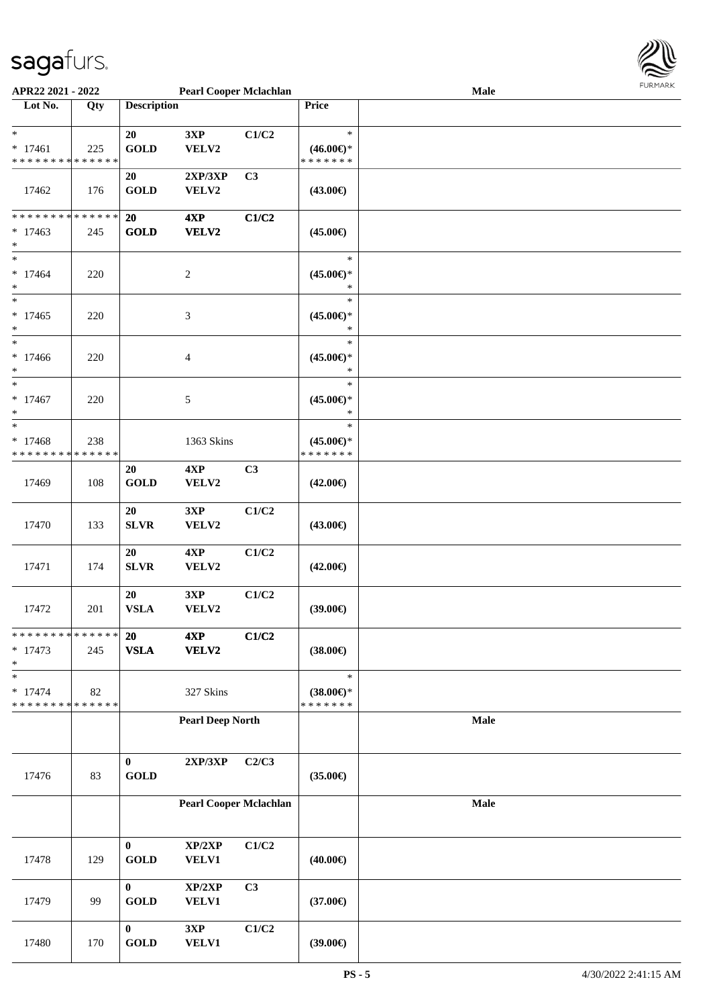

| APR22 2021 - 2022                          |     |                       | <b>Pearl Cooper Mclachlan</b> |       |                     | Male | 1.9151111515 |
|--------------------------------------------|-----|-----------------------|-------------------------------|-------|---------------------|------|--------------|
| Lot No.                                    | Qty | <b>Description</b>    |                               |       | Price               |      |              |
|                                            |     |                       |                               |       |                     |      |              |
| $\ast$                                     |     | 20                    | 3XP                           | C1/C2 | $\ast$              |      |              |
| $* 17461$                                  | 225 | <b>GOLD</b>           | VELV2                         |       | $(46.00\epsilon)$ * |      |              |
| * * * * * * * * <mark>* * * * * * *</mark> |     |                       |                               |       | * * * * * * *       |      |              |
|                                            |     | 20                    | 2XP/3XP                       | C3    |                     |      |              |
| 17462                                      | 176 | <b>GOLD</b>           | VELV2                         |       | $(43.00\epsilon)$   |      |              |
|                                            |     |                       |                               |       |                     |      |              |
| * * * * * * * * * * * * * * *              |     | 20                    | 4XP                           | C1/C2 |                     |      |              |
| $* 17463$                                  | 245 | <b>GOLD</b>           | VELV2                         |       | $(45.00\epsilon)$   |      |              |
| $\ast$                                     |     |                       |                               |       |                     |      |              |
| $\ast$                                     |     |                       |                               |       | $\ast$              |      |              |
| $* 17464$                                  | 220 |                       | $\overline{c}$                |       | $(45.00\epsilon)$ * |      |              |
| $\ast$                                     |     |                       |                               |       | $\ast$              |      |              |
| $\ast$                                     |     |                       |                               |       | $\ast$              |      |              |
| $* 17465$                                  | 220 |                       | 3                             |       | $(45.00\epsilon)$ * |      |              |
| $\ast$                                     |     |                       |                               |       | $\ast$              |      |              |
| $\ast$                                     |     |                       |                               |       | $\ast$              |      |              |
| $*17466$                                   | 220 |                       | 4                             |       | $(45.00\epsilon)$ * |      |              |
| $\ast$                                     |     |                       |                               |       | $\ast$              |      |              |
| $\ast$                                     |     |                       |                               |       | $\ast$              |      |              |
| $* 17467$                                  | 220 |                       | 5                             |       | $(45.00\epsilon)$ * |      |              |
| $\ast$                                     |     |                       |                               |       | $\ast$              |      |              |
| $\ast$                                     |     |                       |                               |       | $\ast$              |      |              |
| $* 17468$                                  | 238 |                       | 1363 Skins                    |       | $(45.00\epsilon)$ * |      |              |
| * * * * * * * * <mark>* * * * * *</mark>   |     |                       |                               |       | * * * * * * *       |      |              |
|                                            |     | 20                    | 4XP                           | C3    |                     |      |              |
| 17469                                      | 108 | <b>GOLD</b>           | VELV2                         |       | $(42.00\epsilon)$   |      |              |
|                                            |     |                       |                               |       |                     |      |              |
|                                            |     | 20                    | 3XP                           | C1/C2 |                     |      |              |
| 17470                                      | 133 | <b>SLVR</b>           | VELV2                         |       | $(43.00\epsilon)$   |      |              |
|                                            |     |                       |                               |       |                     |      |              |
|                                            |     | 20                    | 4XP                           | C1/C2 |                     |      |              |
| 17471                                      | 174 | <b>SLVR</b>           | VELV2                         |       | $(42.00\epsilon)$   |      |              |
|                                            |     |                       |                               |       |                     |      |              |
|                                            |     | 20                    | 3XP                           | C1/C2 |                     |      |              |
| 17472                                      | 201 | <b>VSLA</b>           | VELV2                         |       | $(39.00\epsilon)$   |      |              |
|                                            |     |                       |                               |       |                     |      |              |
| * * * * * * * * <mark>* * * * * *</mark> * |     | 20                    | 4XP                           | C1/C2 |                     |      |              |
| $* 17473$                                  | 245 | <b>VSLA</b>           | VELV2                         |       | $(38.00\epsilon)$   |      |              |
| $\ast$                                     |     |                       |                               |       |                     |      |              |
| $\ast$                                     |     |                       |                               |       | $\ast$              |      |              |
| $* 17474$                                  | 82  |                       | 327 Skins                     |       | $(38.00\epsilon)$ * |      |              |
| * * * * * * * * * * * * * *                |     |                       |                               |       | * * * * * * *       |      |              |
|                                            |     |                       | <b>Pearl Deep North</b>       |       |                     | Male |              |
|                                            |     |                       |                               |       |                     |      |              |
|                                            |     |                       |                               |       |                     |      |              |
|                                            |     | $\bf{0}$              | 2XP/3XP                       | C2/C3 |                     |      |              |
| 17476                                      | 83  | <b>GOLD</b>           |                               |       | $(35.00\epsilon)$   |      |              |
|                                            |     |                       |                               |       |                     |      |              |
|                                            |     |                       | <b>Pearl Cooper Mclachlan</b> |       |                     | Male |              |
|                                            |     |                       |                               |       |                     |      |              |
|                                            |     |                       |                               |       |                     |      |              |
|                                            |     | $\bf{0}$              | XP/2XP                        | C1/C2 |                     |      |              |
| 17478                                      | 129 | <b>GOLD</b>           | VELV1                         |       | $(40.00\epsilon)$   |      |              |
|                                            |     |                       |                               |       |                     |      |              |
|                                            |     | $\mathbf{0}$          | XP/2XP                        | C3    |                     |      |              |
| 17479                                      | 99  | <b>GOLD</b>           | VELV1                         |       | $(37.00\epsilon)$   |      |              |
|                                            |     |                       |                               |       |                     |      |              |
|                                            |     | $\bf{0}$              | 3XP                           | C1/C2 |                     |      |              |
| 17480                                      | 170 | $\operatorname{GOLD}$ | VELV1                         |       | (39.00)             |      |              |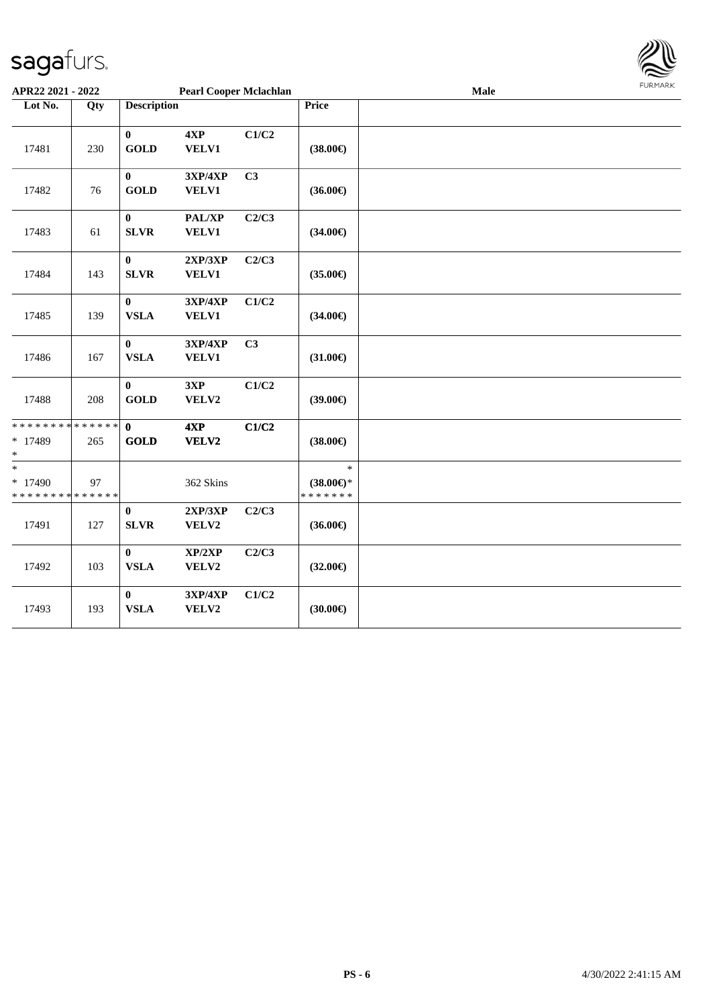

| APR22 2021 - 2022                                               |     |                             | <b>Pearl Cooper Mclachlan</b> |       |                                                | <b>FURMARK</b> |  |
|-----------------------------------------------------------------|-----|-----------------------------|-------------------------------|-------|------------------------------------------------|----------------|--|
| Lot No.                                                         | Qty | <b>Description</b>          |                               |       |                                                |                |  |
| 17481                                                           | 230 | $\bf{0}$<br><b>GOLD</b>     | 4XP<br><b>VELV1</b>           | C1/C2 | $(38.00\epsilon)$                              |                |  |
| 17482                                                           | 76  | $\mathbf{0}$<br><b>GOLD</b> | 3XP/4XP<br><b>VELV1</b>       | C3    | $(36.00\epsilon)$                              |                |  |
| 17483                                                           | 61  | $\bf{0}$<br><b>SLVR</b>     | PAL/XP<br><b>VELV1</b>        | C2/C3 | $(34.00\epsilon)$                              |                |  |
| 17484                                                           | 143 | $\bf{0}$<br><b>SLVR</b>     | 2XP/3XP<br><b>VELV1</b>       | C2/C3 | $(35.00\epsilon)$                              |                |  |
| 17485                                                           | 139 | $\bf{0}$<br><b>VSLA</b>     | 3XP/4XP<br><b>VELV1</b>       | C1/C2 | $(34.00\epsilon)$                              |                |  |
| 17486                                                           | 167 | $\bf{0}$<br><b>VSLA</b>     | 3XP/4XP<br><b>VELV1</b>       | C3    | $(31.00\epsilon)$                              |                |  |
| 17488                                                           | 208 | $\bf{0}$<br><b>GOLD</b>     | 3XP<br>VELV2                  | C1/C2 | $(39.00\epsilon)$                              |                |  |
| * * * * * * * * * * * * * *<br>* 17489<br>$\ast$                | 265 | $\mathbf{0}$<br><b>GOLD</b> | 4XP<br>VELV2                  | C1/C2 | $(38.00\epsilon)$                              |                |  |
| $\ast$<br>* 17490<br>* * * * * * * * <mark>* * * * * * *</mark> | 97  |                             | 362 Skins                     |       | $\ast$<br>$(38.00\epsilon)$ *<br>* * * * * * * |                |  |
| 17491                                                           | 127 | $\bf{0}$<br><b>SLVR</b>     | 2XP/3XP<br>VELV2              | C2/C3 | $(36.00\epsilon)$                              |                |  |
| 17492                                                           | 103 | $\bf{0}$<br><b>VSLA</b>     | XP/2XP<br>VELV2               | C2/C3 | $(32.00\epsilon)$                              |                |  |
| 17493                                                           | 193 | $\bf{0}$<br><b>VSLA</b>     | 3XP/4XP<br>VELV2              | C1/C2 | (30.00)                                        |                |  |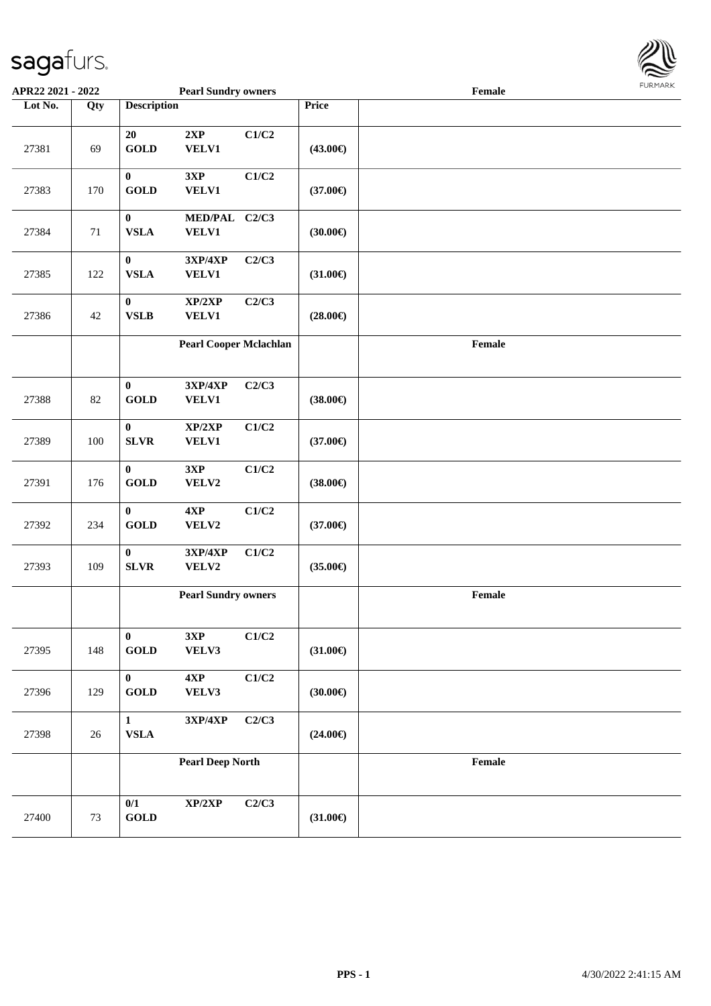

| APR22 2021 - 2022 |     |                                  | <b>Pearl Sundry owners</b>        |       |                   | $\ensuremath{\textnormal{\textbf{Female}}}$ | י איריי יציע |
|-------------------|-----|----------------------------------|-----------------------------------|-------|-------------------|---------------------------------------------|--------------|
| Lot No.           | Qty | <b>Description</b>               |                                   |       | Price             |                                             |              |
| 27381             | 69  | 20<br><b>GOLD</b>                | 2XP<br><b>VELV1</b>               | C1/C2 | $(43.00\epsilon)$ |                                             |              |
| 27383             | 170 | $\bf{0}$<br><b>GOLD</b>          | 3XP<br><b>VELV1</b>               | C1/C2 | $(37.00\epsilon)$ |                                             |              |
| 27384             | 71  | $\bf{0}$<br><b>VSLA</b>          | MED/PAL C2/C3<br>VELV1            |       | (30.00)           |                                             |              |
| 27385             | 122 | $\bf{0}$<br><b>VSLA</b>          | 3XP/4XP<br><b>VELV1</b>           | C2/C3 | $(31.00\epsilon)$ |                                             |              |
| 27386             | 42  | $\boldsymbol{0}$<br><b>VSLB</b>  | XP/2XP<br><b>VELV1</b>            | C2/C3 | $(28.00\epsilon)$ |                                             |              |
|                   |     |                                  | <b>Pearl Cooper Mclachlan</b>     |       |                   | $\ensuremath{\textnormal{\textbf{Female}}}$ |              |
| 27388             | 82  | $\bf{0}$<br><b>GOLD</b>          | 3XP/4XP<br><b>VELV1</b>           | C2/C3 | $(38.00\epsilon)$ |                                             |              |
| 27389             | 100 | $\bf{0}$<br><b>SLVR</b>          | XP/2XP<br><b>VELV1</b>            | C1/C2 | $(37.00\epsilon)$ |                                             |              |
| 27391             | 176 | $\bf{0}$<br><b>GOLD</b>          | 3XP<br>VELV2                      | C1/C2 | $(38.00\epsilon)$ |                                             |              |
| 27392             | 234 | $\boldsymbol{0}$<br><b>GOLD</b>  | 4XP<br>VELV2                      | C1/C2 | $(37.00\epsilon)$ |                                             |              |
| 27393             | 109 | $\boldsymbol{0}$<br>${\bf SLVR}$ | 3XP/4XP<br>VELV2                  | C1/C2 | $(35.00\epsilon)$ |                                             |              |
|                   |     |                                  | <b>Pearl Sundry owners</b>        |       |                   | $\ensuremath{\textnormal{\textbf{Female}}}$ |              |
| 27395             | 148 | $\bf{0}$<br><b>GOLD</b>          | 3XP<br>VELV3                      | C1/C2 | $(31.00\epsilon)$ |                                             |              |
| 27396             | 129 | $\mathbf{0}$<br><b>GOLD</b>      | 4XP<br>VELV3                      | C1/C2 | (30.00)           |                                             |              |
| 27398             | 26  | $\mathbf{1}$<br>${\bf VSLA}$     | $3{\bf X}{\bf P}/4{\bf X}{\bf P}$ | C2/C3 | $(24.00\epsilon)$ |                                             |              |
|                   |     |                                  | <b>Pearl Deep North</b>           |       |                   | $\ensuremath{\textnormal{\textbf{Female}}}$ |              |
| 27400             | 73  | 0/1<br><b>GOLD</b>               | XP/2XP                            | C2/C3 | $(31.00\epsilon)$ |                                             |              |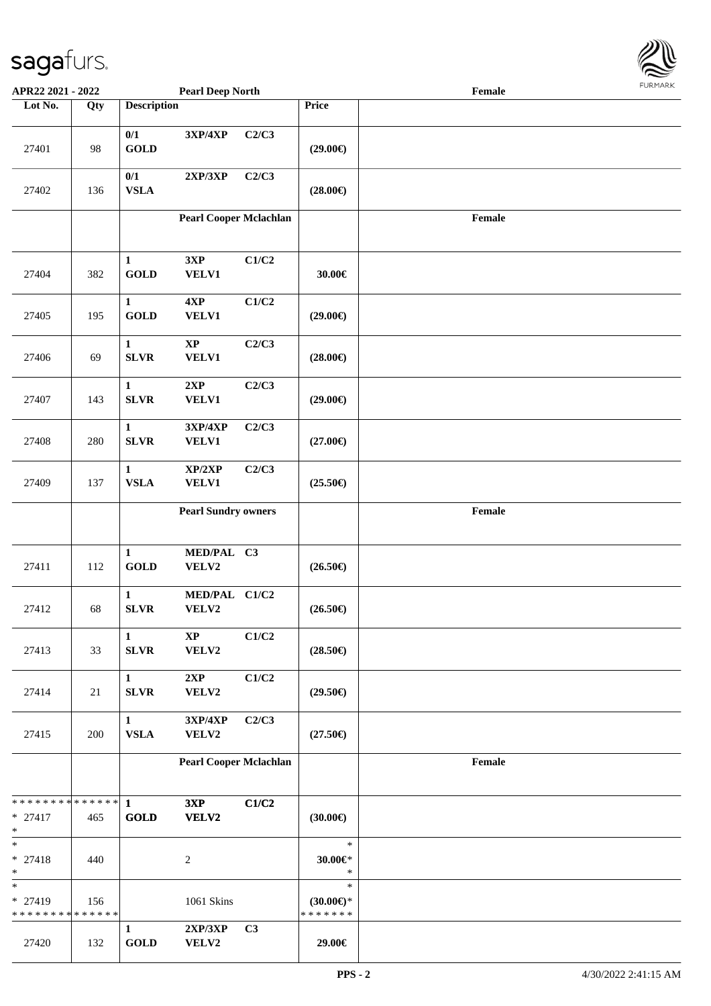

| APR22 2021 - 2022                               |     |                              | <b>Pearl Deep North</b>         |                | <b>LOKITAKV</b><br>$\ensuremath{\textnormal{\textbf{Female}}}$ |                                             |  |  |  |
|-------------------------------------------------|-----|------------------------------|---------------------------------|----------------|----------------------------------------------------------------|---------------------------------------------|--|--|--|
| Lot No.                                         | Qty | <b>Description</b>           |                                 |                | Price                                                          |                                             |  |  |  |
| 27401                                           | 98  | 0/1<br><b>GOLD</b>           | 3XP/4XP                         | C2/C3          | $(29.00\epsilon)$                                              |                                             |  |  |  |
| 27402                                           | 136 | 0/1<br><b>VSLA</b>           | 2XP/3XP                         | C2/C3          | $(28.00\epsilon)$                                              |                                             |  |  |  |
|                                                 |     |                              | Pearl Cooper Mclachlan          |                |                                                                | $\ensuremath{\textnormal{\textbf{Female}}}$ |  |  |  |
| 27404                                           | 382 | $\mathbf{1}$<br><b>GOLD</b>  | 3XP<br><b>VELV1</b>             | C1/C2          | 30.00€                                                         |                                             |  |  |  |
| 27405                                           | 195 | $\mathbf{1}$<br><b>GOLD</b>  | 4XP<br>VELV1                    | C1/C2          | $(29.00\epsilon)$                                              |                                             |  |  |  |
| 27406                                           | 69  | $\mathbf{1}$<br><b>SLVR</b>  | $\bold{XP}$<br>VELV1            | C2/C3          | $(28.00\epsilon)$                                              |                                             |  |  |  |
| 27407                                           | 143 | $\mathbf{1}$<br><b>SLVR</b>  | 2XP<br>VELV1                    | C2/C3          | $(29.00\epsilon)$                                              |                                             |  |  |  |
| 27408                                           | 280 | $\mathbf{1}$<br><b>SLVR</b>  | 3XP/4XP<br><b>VELV1</b>         | C2/C3          | $(27.00\epsilon)$                                              |                                             |  |  |  |
| 27409                                           | 137 | $\mathbf{1}$<br><b>VSLA</b>  | XP/2XP<br><b>VELV1</b>          | C2/C3          | $(25.50\epsilon)$                                              |                                             |  |  |  |
|                                                 |     |                              | <b>Pearl Sundry owners</b>      |                |                                                                | $\ensuremath{\textnormal{\textbf{Female}}}$ |  |  |  |
| 27411                                           | 112 | $\mathbf{1}$<br>GOLD         | MED/PAL C3<br>VELV2             |                | $(26.50\epsilon)$                                              |                                             |  |  |  |
| 27412                                           | 68  | $\mathbf{1}$<br><b>SLVR</b>  | MED/PAL C1/C2<br>VELV2          |                | $(26.50\epsilon)$                                              |                                             |  |  |  |
| 27413                                           | 33  | $\mathbf{1}$<br>${\bf SLVR}$ | $\mathbf{X}\mathbf{P}$<br>VELV2 | C1/C2          | $(28.50\epsilon)$                                              |                                             |  |  |  |
| 27414                                           | 21  | $\mathbf{1}$<br><b>SLVR</b>  | 2XP<br>VELV2                    | C1/C2          | $(29.50\epsilon)$                                              |                                             |  |  |  |
| 27415                                           | 200 | $\mathbf{1}$<br>${\bf VSLA}$ | 3XP/4XP<br>VELV2                | C2/C3          | $(27.50\epsilon)$                                              |                                             |  |  |  |
|                                                 |     |                              | <b>Pearl Cooper Mclachlan</b>   |                |                                                                | Female                                      |  |  |  |
| * * * * * * * * * * * * * *<br>$* 27417$<br>$*$ | 465 | 1<br><b>GOLD</b>             | 3XP<br>VELV2                    | C1/C2          | $(30.00\epsilon)$                                              |                                             |  |  |  |
| $\ast$<br>$* 27418$<br>$*$                      | 440 |                              | 2                               |                | $\ast$<br>30.00€*<br>$\ast$                                    |                                             |  |  |  |
| $*$<br>* 27419<br>* * * * * * * * * * * * * *   | 156 |                              | 1061 Skins                      |                | $\ast$<br>$(30.00\epsilon)$ *<br>* * * * * * *                 |                                             |  |  |  |
| 27420                                           | 132 | $\mathbf{1}$<br><b>GOLD</b>  | 2XP/3XP<br>VELV2                | C <sub>3</sub> | 29.00€                                                         |                                             |  |  |  |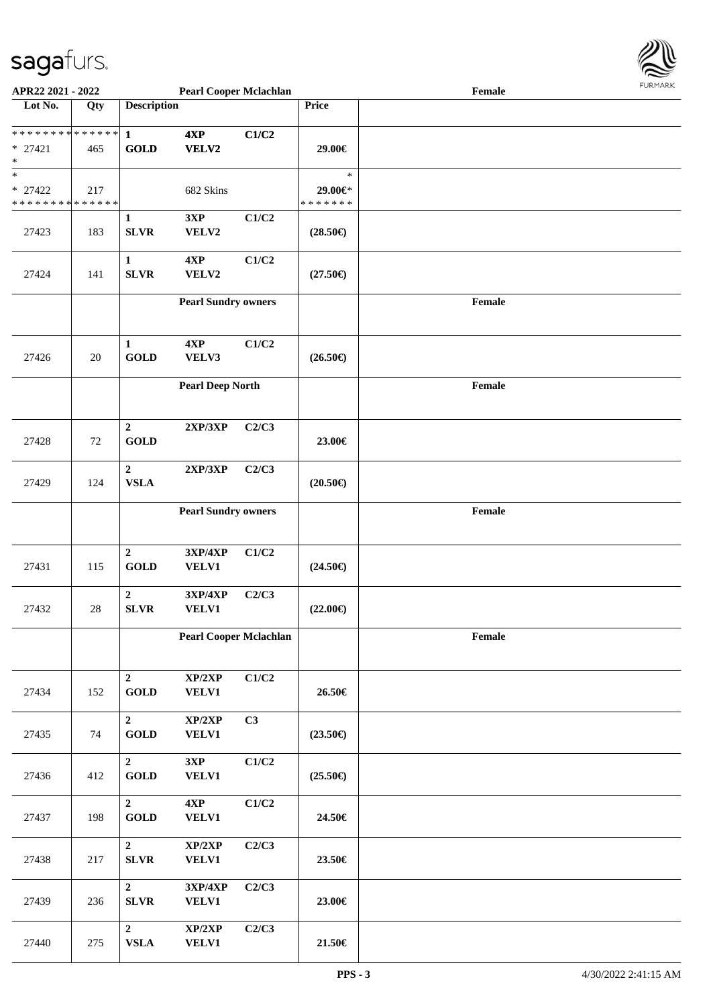

| APR22 2021 - 2022           |     |                    | <b>Pearl Cooper Mclachlan</b>     |                           |                   | Female                                      |  |
|-----------------------------|-----|--------------------|-----------------------------------|---------------------------|-------------------|---------------------------------------------|--|
| Lot No.                     | Qty | <b>Description</b> |                                   |                           | Price             |                                             |  |
|                             |     |                    |                                   |                           |                   |                                             |  |
|                             |     |                    | 4XP                               | C1/C2                     |                   |                                             |  |
| $* 27421$                   | 465 | <b>GOLD</b>        | <b>VELV2</b>                      |                           | 29.00€            |                                             |  |
| $\ast$                      |     |                    |                                   |                           |                   |                                             |  |
| $\ast$                      |     |                    |                                   |                           | $\ast$            |                                             |  |
| $* 27422$                   | 217 |                    | 682 Skins                         |                           | 29.00€*           |                                             |  |
| * * * * * * * * * * * * * * |     |                    |                                   |                           | * * * * * * *     |                                             |  |
|                             |     | $\mathbf{1}$       | 3XP                               | C1/C2                     |                   |                                             |  |
| 27423                       | 183 | <b>SLVR</b>        | VELV2                             |                           | $(28.50\epsilon)$ |                                             |  |
|                             |     |                    |                                   |                           |                   |                                             |  |
|                             |     |                    | 4XP                               | C1/C2                     |                   |                                             |  |
|                             |     | $\mathbf{1}$       |                                   |                           |                   |                                             |  |
| 27424                       | 141 | <b>SLVR</b>        | VELV2                             |                           | $(27.50\epsilon)$ |                                             |  |
|                             |     |                    |                                   |                           |                   |                                             |  |
|                             |     |                    | <b>Pearl Sundry owners</b>        |                           |                   | Female                                      |  |
|                             |     |                    |                                   |                           |                   |                                             |  |
|                             |     |                    |                                   |                           |                   |                                             |  |
|                             |     | $\mathbf{1}$       | 4XP                               | C1/C2                     |                   |                                             |  |
| 27426                       | 20  | <b>GOLD</b>        | VELV3                             |                           | $(26.50\epsilon)$ |                                             |  |
|                             |     |                    |                                   |                           |                   |                                             |  |
|                             |     |                    | <b>Pearl Deep North</b>           |                           |                   | $\ensuremath{\textnormal{\textbf{Female}}}$ |  |
|                             |     |                    |                                   |                           |                   |                                             |  |
|                             |     |                    |                                   |                           |                   |                                             |  |
|                             |     | $\mathbf 2$        | 2XP/3XP                           | C2/C3                     |                   |                                             |  |
| 27428                       | 72  | <b>GOLD</b>        |                                   |                           | 23.00€            |                                             |  |
|                             |     |                    |                                   |                           |                   |                                             |  |
|                             |     | $\mathbf 2$        | 2XP/3XP                           | C2/C3                     |                   |                                             |  |
| 27429                       | 124 | <b>VSLA</b>        |                                   |                           | $(20.50\epsilon)$ |                                             |  |
|                             |     |                    |                                   |                           |                   |                                             |  |
|                             |     |                    | <b>Pearl Sundry owners</b>        |                           |                   | Female                                      |  |
|                             |     |                    |                                   |                           |                   |                                             |  |
|                             |     |                    |                                   |                           |                   |                                             |  |
|                             |     | $\overline{2}$     | 3XP/4XP                           | C1/C2                     |                   |                                             |  |
| 27431                       | 115 | <b>GOLD</b>        | <b>VELV1</b>                      |                           | $(24.50\epsilon)$ |                                             |  |
|                             |     |                    |                                   |                           |                   |                                             |  |
|                             |     | $\mathbf 2$        | 3XP/4XP                           | C2/C3                     |                   |                                             |  |
| 27432                       | 28  | <b>SLVR</b>        | <b>VELV1</b>                      |                           | $(22.00\epsilon)$ |                                             |  |
|                             |     |                    |                                   |                           |                   |                                             |  |
|                             |     |                    | <b>Pearl Cooper Mclachlan</b>     |                           |                   | Female                                      |  |
|                             |     |                    |                                   |                           |                   |                                             |  |
|                             |     |                    |                                   |                           |                   |                                             |  |
|                             |     | $\overline{2}$     | XP/2XP                            | C1/C2                     |                   |                                             |  |
| 27434                       | 152 | <b>GOLD</b>        | <b>VELV1</b>                      |                           | 26.50€            |                                             |  |
|                             |     |                    |                                   |                           |                   |                                             |  |
|                             |     | $\mathbf{2}$       | XP/2XP                            | C3                        |                   |                                             |  |
| 27435                       | 74  | <b>GOLD</b>        | <b>VELV1</b>                      |                           | $(23.50\epsilon)$ |                                             |  |
|                             |     |                    |                                   |                           |                   |                                             |  |
|                             |     | $\overline{2}$     | $3{\bf X}{\bf P}$                 | $\mathbf{C1}/\mathbf{C2}$ |                   |                                             |  |
| 27436                       | 412 | <b>GOLD</b>        | VELV1                             |                           | $(25.50\epsilon)$ |                                             |  |
|                             |     |                    |                                   |                           |                   |                                             |  |
|                             |     | $\overline{2}$     | 4XP                               | C1/C2                     |                   |                                             |  |
| 27437                       | 198 | <b>GOLD</b>        | <b>VELV1</b>                      |                           | 24.50€            |                                             |  |
|                             |     |                    |                                   |                           |                   |                                             |  |
|                             |     | $\overline{2}$     | $\mathbf{XP}/2\mathbf{XP}$        | C2/C3                     |                   |                                             |  |
| 27438                       | 217 | <b>SLVR</b>        | <b>VELV1</b>                      |                           | 23.50€            |                                             |  |
|                             |     |                    |                                   |                           |                   |                                             |  |
|                             |     | $\overline{2}$     | $3{\bf X}{\bf P}/4{\bf X}{\bf P}$ | C2/C3                     |                   |                                             |  |
| 27439                       | 236 | <b>SLVR</b>        | <b>VELV1</b>                      |                           | 23.00€            |                                             |  |
|                             |     |                    |                                   |                           |                   |                                             |  |
|                             |     | $\overline{2}$     | XP/2XP                            | C2/C3                     |                   |                                             |  |
| 27440                       | 275 | ${\bf VSLA}$       | <b>VELV1</b>                      |                           | 21.50€            |                                             |  |
|                             |     |                    |                                   |                           |                   |                                             |  |
|                             |     |                    |                                   |                           |                   |                                             |  |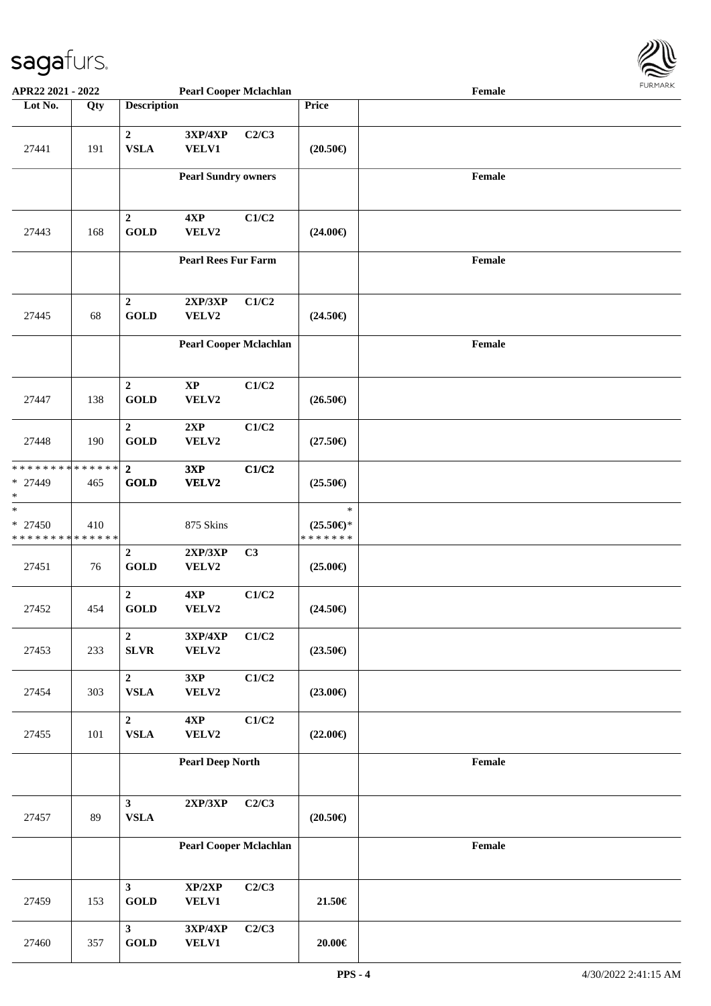

| APR22 2021 - 2022                                |                         |                                         | <b>Pearl Cooper Mclachlan</b>                     |                           |                                                | Female |  |
|--------------------------------------------------|-------------------------|-----------------------------------------|---------------------------------------------------|---------------------------|------------------------------------------------|--------|--|
| Lot No.                                          | Qty                     | <b>Description</b>                      |                                                   |                           | Price                                          |        |  |
| 27441                                            | 191                     | $\boldsymbol{2}$<br><b>VSLA</b>         | $3{\bf X}{\bf P}/4{\bf X}{\bf P}$<br><b>VELV1</b> | C2/C3                     | $(20.50\epsilon)$                              |        |  |
|                                                  |                         |                                         | <b>Pearl Sundry owners</b>                        |                           |                                                | Female |  |
| 27443                                            | 168                     | $\boldsymbol{2}$<br><b>GOLD</b>         | 4XP<br>VELV2                                      | C1/C2                     | $(24.00\epsilon)$                              |        |  |
|                                                  |                         |                                         | <b>Pearl Rees Fur Farm</b>                        |                           |                                                | Female |  |
| 27445                                            | 68                      | $\mathbf 2$<br><b>GOLD</b>              | 2XP/3XP<br>VELV2                                  | C1/C2                     | $(24.50\epsilon)$                              |        |  |
|                                                  |                         | <b>Pearl Cooper Mclachlan</b>           |                                                   |                           |                                                | Female |  |
| 27447                                            | 138                     | $\boldsymbol{2}$<br><b>GOLD</b>         | $\bold{XP}$<br>VELV2                              | C1/C2                     | $(26.50\epsilon)$                              |        |  |
| 27448                                            | 190                     | $\mathbf 2$<br><b>GOLD</b>              | 2XP<br>VELV2                                      | C1/C2                     | $(27.50\epsilon)$                              |        |  |
| * * * * * * * * * * * * * *<br>* 27449<br>$\ast$ | 465                     | $\mathbf{2}$<br><b>GOLD</b>             | 3XP<br>VELV2                                      | C1/C2                     | $(25.50\epsilon)$                              |        |  |
| $\ast$<br>* 27450<br>* * * * * * * * * * * * * * | 410                     |                                         | 875 Skins                                         |                           | $\ast$<br>$(25.50\epsilon)$ *<br>* * * * * * * |        |  |
| 27451                                            | 76                      | $\overline{2}$<br><b>GOLD</b>           | 2XP/3XP<br>VELV2                                  | C3                        | $(25.00\epsilon)$                              |        |  |
| 27452                                            | 454                     | $\overline{2}$<br><b>GOLD</b>           | 4XP<br>VELV2                                      | C1/C2                     | $(24.50\epsilon)$                              |        |  |
| 27453                                            | 233                     | $\overline{2}$<br>${\bf SLVR}$          | 3XP/4XP<br>VELV2                                  | C1/C2                     | $(23.50\epsilon)$                              |        |  |
| 27454                                            | 303                     | $\overline{2}$<br>${\bf VSLA}$          | 3XP<br>VELV2                                      | C1/C2                     | $(23.00\epsilon)$                              |        |  |
| 27455                                            | $101\,$                 | $\mathbf{2}$<br>${\bf VSLA}$            | 4XP<br>VELV2                                      | $\mathbf{C1}/\mathbf{C2}$ | $(22.00\epsilon)$                              |        |  |
|                                                  | <b>Pearl Deep North</b> |                                         |                                                   | Female                    |                                                |        |  |
| 27457                                            | 89                      | $\overline{\mathbf{3}}$<br>${\bf VSLA}$ | $2{\bf XP}/3{\bf XP}$                             | C2/C3                     | $(20.50\epsilon)$                              |        |  |
|                                                  |                         |                                         | <b>Pearl Cooper Mclachlan</b>                     |                           |                                                | Female |  |
| 27459                                            | 153                     | 3 <sup>1</sup><br><b>GOLD</b>           | XP/2XP<br><b>VELV1</b>                            | C2/C3                     | 21.50€                                         |        |  |
| 27460                                            | 357                     | $\mathbf{3}$<br>$\operatorname{GOLD}$   | 3XP/4XP<br><b>VELV1</b>                           | C2/C3                     | $20.00 \in$                                    |        |  |